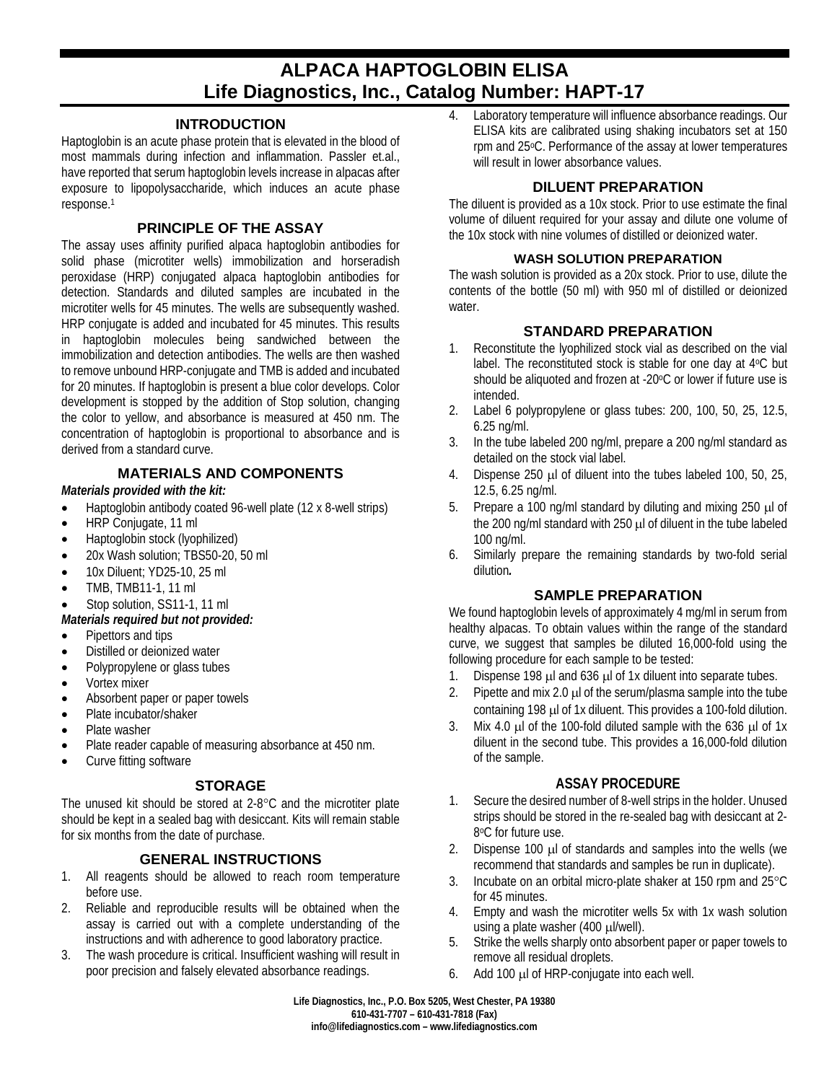# **ALPACA HAPTOGLOBIN ELISA Life Diagnostics, Inc., Catalog Number: HAPT-17**

### **INTRODUCTION**

Haptoglobin is an acute phase protein that is elevated in the blood of most mammals during infection and inflammation. Passler et.al., have reported that serum haptoglobin levels increase in alpacas after exposure to lipopolysaccharide, which induces an acute phase response. 1

### **PRINCIPLE OF THE ASSAY**

The assay uses affinity purified alpaca haptoglobin antibodies for solid phase (microtiter wells) immobilization and horseradish peroxidase (HRP) conjugated alpaca haptoglobin antibodies for detection. Standards and diluted samples are incubated in the microtiter wells for 45 minutes. The wells are subsequently washed. HRP conjugate is added and incubated for 45 minutes. This results in haptoglobin molecules being sandwiched between the immobilization and detection antibodies. The wells are then washed to remove unbound HRP-conjugate and TMB is added and incubated for 20 minutes. If haptoglobin is present a blue color develops. Color development is stopped by the addition of Stop solution, changing the color to yellow, and absorbance is measured at 450 nm. The concentration of haptoglobin is proportional to absorbance and is derived from a standard curve.

# **MATERIALS AND COMPONENTS**

*Materials provided with the kit:*

- Haptoglobin antibody coated 96-well plate (12 x 8-well strips)
- HRP Conjugate, 11 ml
- Haptoglobin stock (lyophilized)
- 20x Wash solution; TBS50-20, 50 ml
- 10x Diluent; YD25-10, 25 ml
- TMB, TMB11-1, 11 ml
- Stop solution, SS11-1, 11 ml

### *Materials required but not provided:*

- Pipettors and tips
- Distilled or deionized water
- Polypropylene or glass tubes
- Vortex mixer
- Absorbent paper or paper towels
- Plate incubator/shaker
- Plate washer
- Plate reader capable of measuring absorbance at 450 nm.
- Curve fitting software

# **STORAGE**

The unused kit should be stored at 2-8°C and the microtiter plate should be kept in a sealed bag with desiccant. Kits will remain stable for six months from the date of purchase.

# **GENERAL INSTRUCTIONS**

- 1. All reagents should be allowed to reach room temperature before use.
- 2. Reliable and reproducible results will be obtained when the assay is carried out with a complete understanding of the instructions and with adherence to good laboratory practice.
- 3. The wash procedure is critical. Insufficient washing will result in poor precision and falsely elevated absorbance readings.

4. Laboratory temperature will influence absorbance readings. Our ELISA kits are calibrated using shaking incubators set at 150 rpm and 25oC. Performance of the assay at lower temperatures will result in lower absorbance values.

# **DILUENT PREPARATION**

The diluent is provided as a 10x stock. Prior to use estimate the final volume of diluent required for your assay and dilute one volume of the 10x stock with nine volumes of distilled or deionized water.

#### **WASH SOLUTION PREPARATION**

The wash solution is provided as a 20x stock. Prior to use, dilute the contents of the bottle (50 ml) with 950 ml of distilled or deionized water.

# **STANDARD PREPARATION**

- 1. Reconstitute the lyophilized stock vial as described on the vial label. The reconstituted stock is stable for one day at 4°C but should be aliquoted and frozen at -20°C or lower if future use is intended.
- 2. Label 6 polypropylene or glass tubes: 200, 100, 50, 25, 12.5, 6.25 ng/ml.
- 3. In the tube labeled 200 ng/ml, prepare a 200 ng/ml standard as detailed on the stock vial label.
- 4. Dispense 250 µl of diluent into the tubes labeled 100, 50, 25, 12.5, 6.25 ng/ml.
- 5. Prepare a 100 ng/ml standard by diluting and mixing 250 µl of the 200 ng/ml standard with 250 µl of diluent in the tube labeled 100 ng/ml.
- 6. Similarly prepare the remaining standards by two-fold serial dilution*.*

### **SAMPLE PREPARATION**

We found haptoglobin levels of approximately 4 mg/ml in serum from healthy alpacas. To obtain values within the range of the standard curve, we suggest that samples be diluted 16,000-fold using the following procedure for each sample to be tested:

- 1. Dispense 198  $\mu$ l and 636  $\mu$ l of 1x diluent into separate tubes.
- 2. Pipette and mix 2.0  $\mu$  of the serum/plasma sample into the tube containing 198 µl of 1x diluent. This provides a 100-fold dilution.
- 3. Mix 4.0  $\mu$  of the 100-fold diluted sample with the 636  $\mu$  of 1x diluent in the second tube. This provides a 16,000-fold dilution of the sample.

### **ASSAY PROCEDURE**

- 1. Secure the desired number of 8-well strips in the holder. Unused strips should be stored in the re-sealed bag with desiccant at 2- 8oC for future use.
- 2. Dispense 100 µl of standards and samples into the wells (we recommend that standards and samples be run in duplicate).
- 3. Incubate on an orbital micro-plate shaker at 150 rpm and 25°C for 45 minutes.
- 4. Empty and wash the microtiter wells 5x with 1x wash solution using a plate washer (400 µl/well).
- 5. Strike the wells sharply onto absorbent paper or paper towels to remove all residual droplets.
- 6. Add 100 µl of HRP-conjugate into each well.

**Life Diagnostics, Inc., P.O. Box 5205, West Chester, PA 19380 610-431-7707 – 610-431-7818 (Fax) info@lifediagnostics.com – www.lifediagnostics.com**